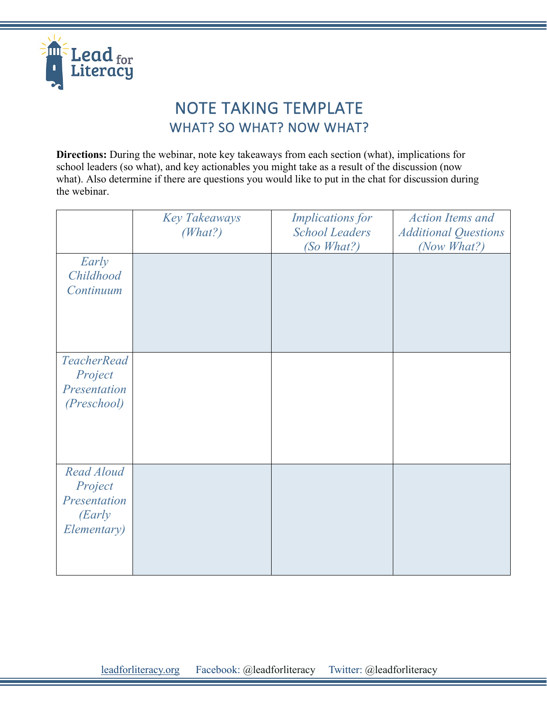

## NOTE TAKING TEMPLATE WHAT? SO WHAT? NOW WHAT?

**Directions:** During the webinar, note key takeaways from each section (what), implications for school leaders (so what), and key actionables you might take as a result of the discussion (now what). Also determine if there are questions you would like to put in the chat for discussion during the webinar.

|                                                                | <b>Key Takeaways</b><br>(What?) | <b>Implications for</b><br><b>School Leaders</b><br>(So What?) | <b>Action Items and</b><br><b>Additional Questions</b><br>(Now What?) |
|----------------------------------------------------------------|---------------------------------|----------------------------------------------------------------|-----------------------------------------------------------------------|
| Early<br>Childhood<br>Continuum                                |                                 |                                                                |                                                                       |
| <b>TeacherRead</b><br>Project<br>Presentation<br>(Preschool)   |                                 |                                                                |                                                                       |
| Read Aloud<br>Project<br>Presentation<br>(Early<br>Elementary) |                                 |                                                                |                                                                       |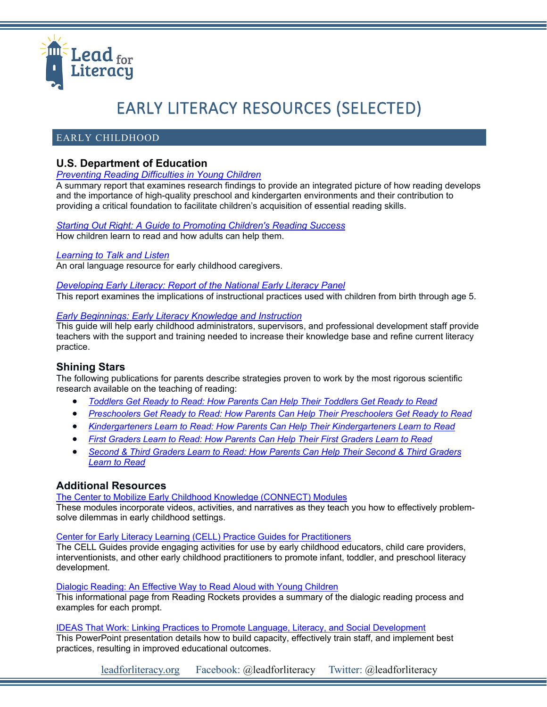

# EARLY LITERACY RESOURCES (SELECTED)

## EARLY CHILDHOOD

## **U.S. Department of Education**

#### *[Preventing Reading Difficulties in Young Children](http://www.nap.edu/catalog.php?record_id=6023)*

A summary report that examines research findings to provide an integrated picture of how reading develops and the importance of high-quality preschool and kindergarten environments and their contribution to providing a critical foundation to facilitate children's acquisition of essential reading skills.

#### *[Starting Out Right: A Guide to Promoting Children's Reading Success](http://www.nap.edu/catalog.php?record_id=6014)* How children learn to read and how adults can help them.

#### *[Learning to Talk and Listen](https://lincs.ed.gov/publications/pdf/LearningtoTalkandListen.pdf)*

An oral language resource for early childhood caregivers.

#### *[Developing Early Literacy: Report of the National Early Literacy Panel](https://lincs.ed.gov/publications/pdf/NELPReport09.pdf)*

This report examines the implications of instructional practices used with children from birth through age 5.

#### *[Early Beginnings: Early Literacy Knowledge and Instruction](https://lincs.ed.gov/publications/pdf/NELPEarlyBeginnings09.pdf)*

This guide will help early childhood administrators, supervisors, and professional development staff provide teachers with the support and training needed to increase their knowledge base and refine current literacy practice.

### **Shining Stars**

The following publications for parents describe strategies proven to work by the most rigorous scientific research available on the teaching of reading:

- *[Toddlers Get Ready to Read: How Parents Can Help Their Toddlers Get Ready to Read](https://lincs.ed.gov/publications/pdf/ShiningStarsToddlers.pdf)*
- *[Preschoolers Get Ready to Read: How Parents Can Help Their Preschoolers Get Ready to Read](https://lincs.ed.gov/publications/pdf/ShiningStarsPreschool.pdf)*
- *[Kindergarteners Learn to Read: How Parents Can Help Their Kindergarteners Learn to Read](https://lincs.ed.gov/publications/pdf/Shining_Stars_Kindergarten.pdf)*
- *[First Graders Learn to Read: How Parents Can Help Their First Graders Learn to Read](https://lincs.ed.gov/publications/pdf/Shining_Stars_First_Grader.pdf)*
- *[Second & Third Graders Learn to Read: How Parents Can Help Their Second & Third Graders](https://lincs.ed.gov/publications/pdf/Shining_Stars_Second_Third_Grader.pdf)  [Learn to Read](https://lincs.ed.gov/publications/pdf/Shining_Stars_Second_Third_Grader.pdf)*

### **Additional Resources**

[The Center to Mobilize Early Childhood Knowledge \(CONNECT\) Modules](https://connectmodules.dec-sped.org/connect-modules/learners/)

These modules incorporate videos, activities, and narratives as they teach you how to effectively problemsolve dilemmas in early childhood settings.

#### [Center for Early Literacy Learning \(CELL\) Practice Guides for Practitioners](http://www.earlyliteracylearning.org/pgpracts.php)

The CELL Guides provide engaging activities for use by early childhood educators, child care providers, interventionists, and other early childhood practitioners to promote infant, toddler, and preschool literacy development.

#### [Dialogic Reading: An Effective Way to Read Aloud with Young Children](https://www.readingrockets.org/article/dialogic-reading-effective-way-read-aloud-young-children)

This informational page from Reading Rockets provides a summary of the dialogic reading process and examples for each prompt.

#### IDEAS That Work: [Linking Practices to Promote Language, Literacy, and Social Development](https://ectacenter.org/%7Epdfs/meetings/outcomes2012/CELL_TACSEI_rev.pdf)

This PowerPoint presentation details how to build capacity, effectively train staff, and implement best practices, resulting in improved educational outcomes.

[leadforliteracy.org](http://leadforliteracy.org/) Facebook: @leadforliteracy Twitter: @leadforliteracy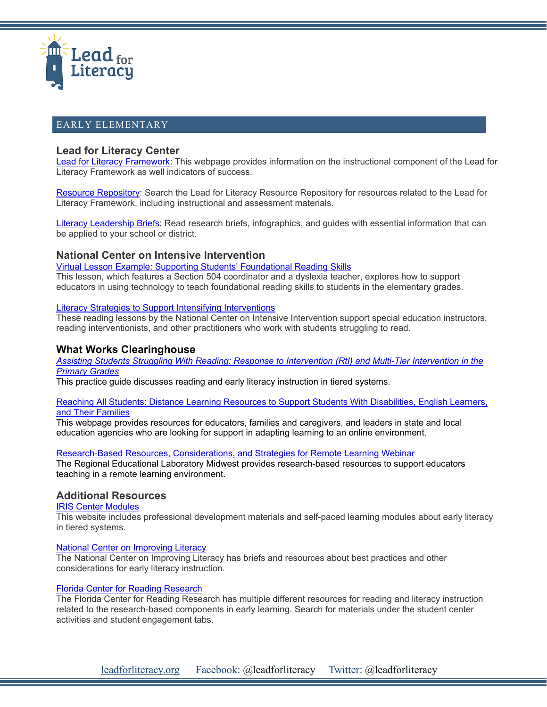

## EARLY ELEMENTARY

## **Lead for Literacy Center**

[Lead for Literacy Framework:](https://leadforliteracy.org/framework) This webpage provides information on the instructional component of the Lead for Literacy Framework as well indicators of success.

[Resource Repository:](https://leadforliteracy.org/resource-repository) Search the Lead for Literacy Resource Repository for resources related to the Lead for Literacy Framework, including instructional and assessment materials.

[Literacy Leadership Briefs:](https://leadforliteracy.org/briefs) Read research briefs, infographics, and guides with essential information that can be applied to your school or district.

## **National Center on Intensive Intervention**

[Virtual Lesson Example: Supporting Students' Foundational Reading Skills](https://intensiveintervention.org/resource/virtual-lesson-example-supporting-students-foundational-reading-skills)

This lesson, which features a Section 504 coordinator and a dyslexia teacher, explores how to support educators in using technology to teach foundational reading skills to students in the elementary grades.

#### [Literacy Strategies to Support Intensifying Interventions](https://intensiveintervention.org/intervention-resources/literacy-strategies)

These reading lessons by the National Center on Intensive Intervention support special education instructors, reading interventionists, and other practitioners who work with students struggling to read.

## **What Works Clearinghouse**

*[Assisting Students Struggling With Reading: Response to Intervention \(RtI\)](https://ies.ed.gov/ncee/wwc/PracticeGuide/3) and Multi-Tier Intervention in the [Primary Grades](https://ies.ed.gov/ncee/wwc/PracticeGuide/3)*

This practice guide discusses reading and early literacy instruction in tiered systems.

#### [Reaching All Students: Distance Learning Resources to Support Students With Disabilities, English Learners,](https://ies.ed.gov/ncee/edlabs/regions/appalachia/blogs/blog27_reaching-all-students-distance-learning-resources.asp)  [and Their Families](https://ies.ed.gov/ncee/edlabs/regions/appalachia/blogs/blog27_reaching-all-students-distance-learning-resources.asp)

This webpage provides resources for educators, families and caregivers, and leaders in state and local education agencies who are looking for support in adapting learning to an online environment.

#### [Research-Based Resources, Considerations, and Strategies for Remote Learning Webinar](https://ies.ed.gov/ncee/edlabs/regions/midwest/events/2020/april-8.aspx)

The Regional Educational Laboratory Midwest provides research-based resources to support educators teaching in a remote learning environment.

## **Additional Resources**

[IRIS Center Modules](https://iris.peabody.vanderbilt.edu/module/rti02/cresource/q2/p02/#content)

This website includes professional development materials and self-paced learning modules about early literacy in tiered systems.

#### [National Center on Improving Literacy](https://improvingliteracy.org/topic/screening)

The National Center on Improving Literacy has briefs and resources about best practices and other considerations for early literacy instruction.

#### [Florida Center for Reading Research](https://www.fcrr.org/)

The Florida Center for Reading Research has multiple different resources for reading and literacy instruction related to the research-based components in early learning. Search for materials under the student center activities and student engagement tabs.